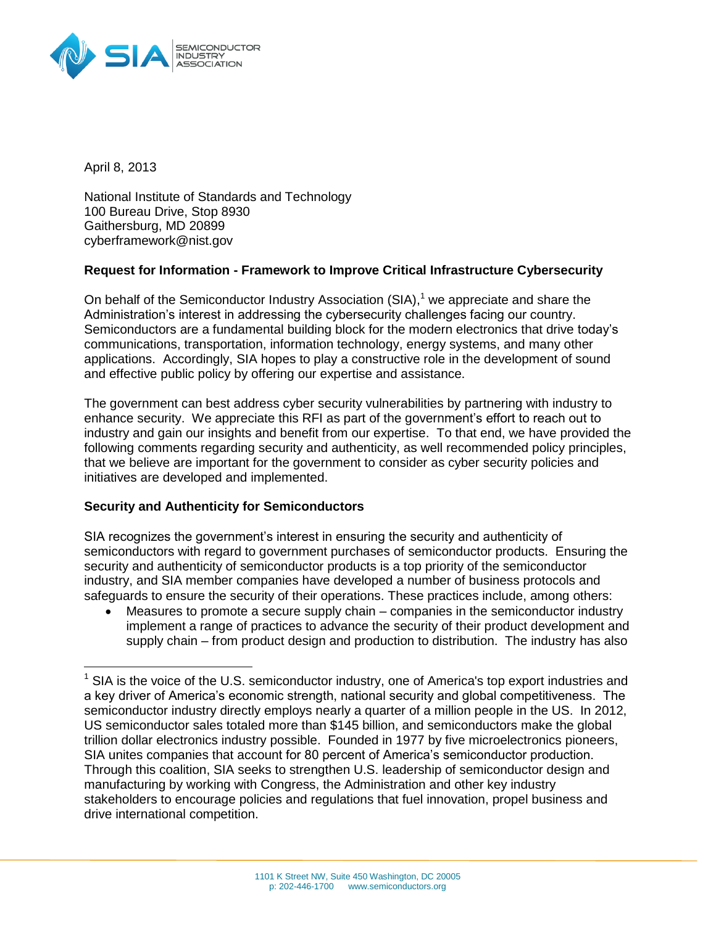

April 8, 2013

 $\overline{a}$ 

National Institute of Standards and Technology 100 Bureau Drive, Stop 8930 Gaithersburg, MD 20899 cyberframework@nist.gov

## **Request for Information - Framework to Improve Critical Infrastructure Cybersecurity**

On behalf of the Semiconductor Industry Association  $(SIA)_1^1$  we appreciate and share the Administration's interest in addressing the cybersecurity challenges facing our country. Semiconductors are a fundamental building block for the modern electronics that drive today's communications, transportation, information technology, energy systems, and many other applications. Accordingly, SIA hopes to play a constructive role in the development of sound and effective public policy by offering our expertise and assistance.

The government can best address cyber security vulnerabilities by partnering with industry to enhance security. We appreciate this RFI as part of the government's effort to reach out to industry and gain our insights and benefit from our expertise. To that end, we have provided the following comments regarding security and authenticity, as well recommended policy principles, that we believe are important for the government to consider as cyber security policies and initiatives are developed and implemented.

## **Security and Authenticity for Semiconductors**

SIA recognizes the government's interest in ensuring the security and authenticity of semiconductors with regard to government purchases of semiconductor products. Ensuring the security and authenticity of semiconductor products is a top priority of the semiconductor industry, and SIA member companies have developed a number of business protocols and safeguards to ensure the security of their operations. These practices include, among others:

 Measures to promote a secure supply chain – companies in the semiconductor industry implement a range of practices to advance the security of their product development and supply chain – from product design and production to distribution. The industry has also

 $1$  SIA is the voice of the U.S. semiconductor industry, one of America's top export industries and a key driver of America's economic strength, national security and global competitiveness. The semiconductor industry directly employs nearly a quarter of a million people in the US. In 2012, US semiconductor sales totaled more than \$145 billion, and semiconductors make the global trillion dollar electronics industry possible. Founded in 1977 by five microelectronics pioneers, SIA unites companies that account for 80 percent of America's semiconductor production. Through this coalition, SIA seeks to strengthen U.S. leadership of semiconductor design and manufacturing by working with Congress, the Administration and other key industry stakeholders to encourage policies and regulations that fuel innovation, propel business and drive international competition.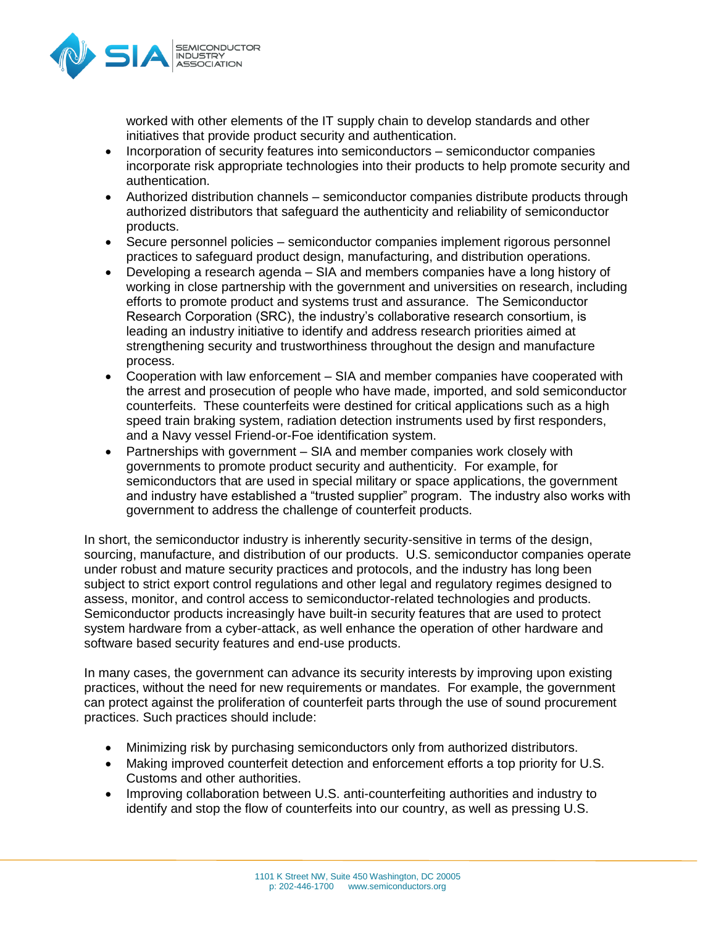

worked with other elements of the IT supply chain to develop standards and other initiatives that provide product security and authentication.

- Incorporation of security features into semiconductors semiconductor companies incorporate risk appropriate technologies into their products to help promote security and authentication.
- Authorized distribution channels semiconductor companies distribute products through authorized distributors that safeguard the authenticity and reliability of semiconductor products.
- Secure personnel policies semiconductor companies implement rigorous personnel practices to safeguard product design, manufacturing, and distribution operations.
- Developing a research agenda SIA and members companies have a long history of working in close partnership with the government and universities on research, including efforts to promote product and systems trust and assurance. The Semiconductor Research Corporation (SRC), the industry's collaborative research consortium, is leading an industry initiative to identify and address research priorities aimed at strengthening security and trustworthiness throughout the design and manufacture process.
- Cooperation with law enforcement SIA and member companies have cooperated with the arrest and prosecution of people who have made, imported, and sold semiconductor counterfeits. These counterfeits were destined for critical applications such as a high speed train braking system, radiation detection instruments used by first responders, and a Navy vessel Friend-or-Foe identification system.
- Partnerships with government SIA and member companies work closely with governments to promote product security and authenticity. For example, for semiconductors that are used in special military or space applications, the government and industry have established a "trusted supplier" program. The industry also works with government to address the challenge of counterfeit products.

In short, the semiconductor industry is inherently security-sensitive in terms of the design, sourcing, manufacture, and distribution of our products. U.S. semiconductor companies operate under robust and mature security practices and protocols, and the industry has long been subject to strict export control regulations and other legal and regulatory regimes designed to assess, monitor, and control access to semiconductor-related technologies and products. Semiconductor products increasingly have built-in security features that are used to protect system hardware from a cyber-attack, as well enhance the operation of other hardware and software based security features and end-use products.

In many cases, the government can advance its security interests by improving upon existing practices, without the need for new requirements or mandates. For example, the government can protect against the proliferation of counterfeit parts through the use of sound procurement practices. Such practices should include:

- Minimizing risk by purchasing semiconductors only from authorized distributors.
- Making improved counterfeit detection and enforcement efforts a top priority for U.S. Customs and other authorities.
- Improving collaboration between U.S. anti-counterfeiting authorities and industry to identify and stop the flow of counterfeits into our country, as well as pressing U.S.